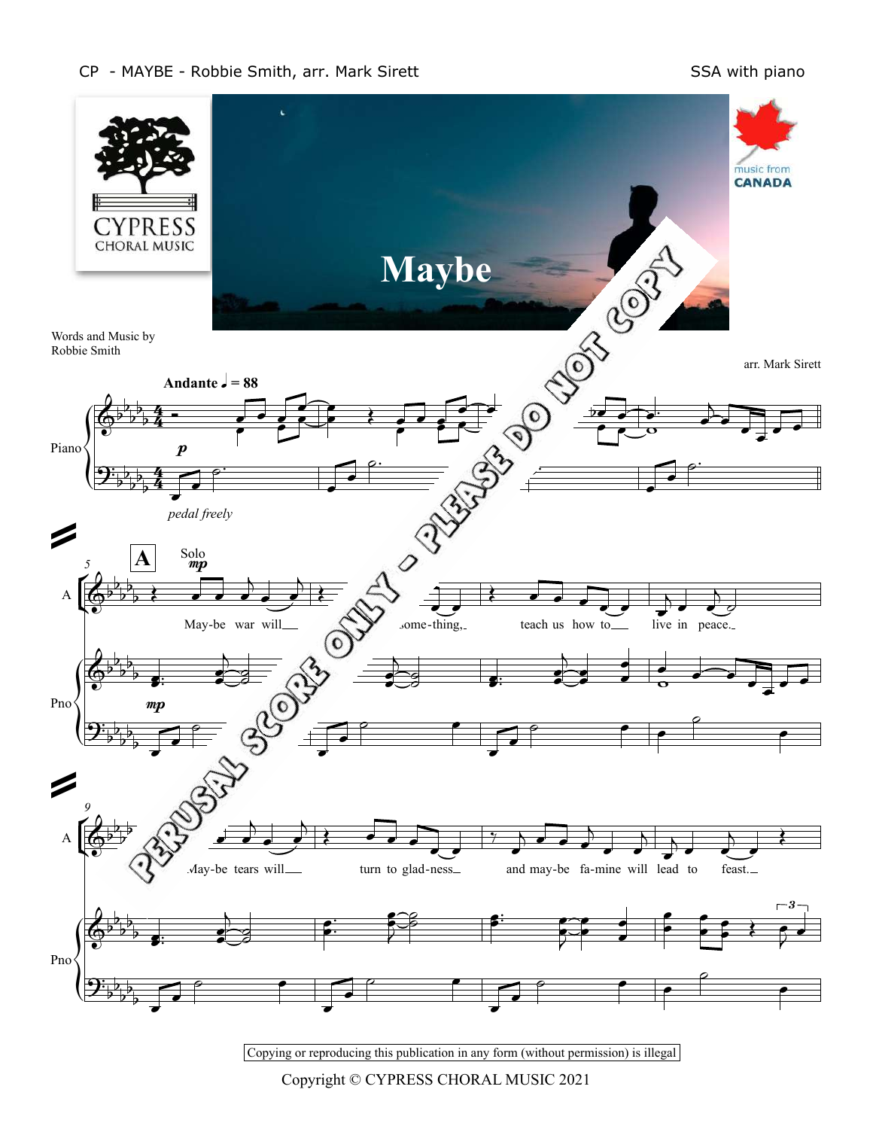## CP - MAYBE - Robbie Smith, arr. Mark Sirett SSA with piano



Copying or reproducing this publication in any form (without permission) is illegal

Copyright © CYPRESS CHORAL MUSIC 2021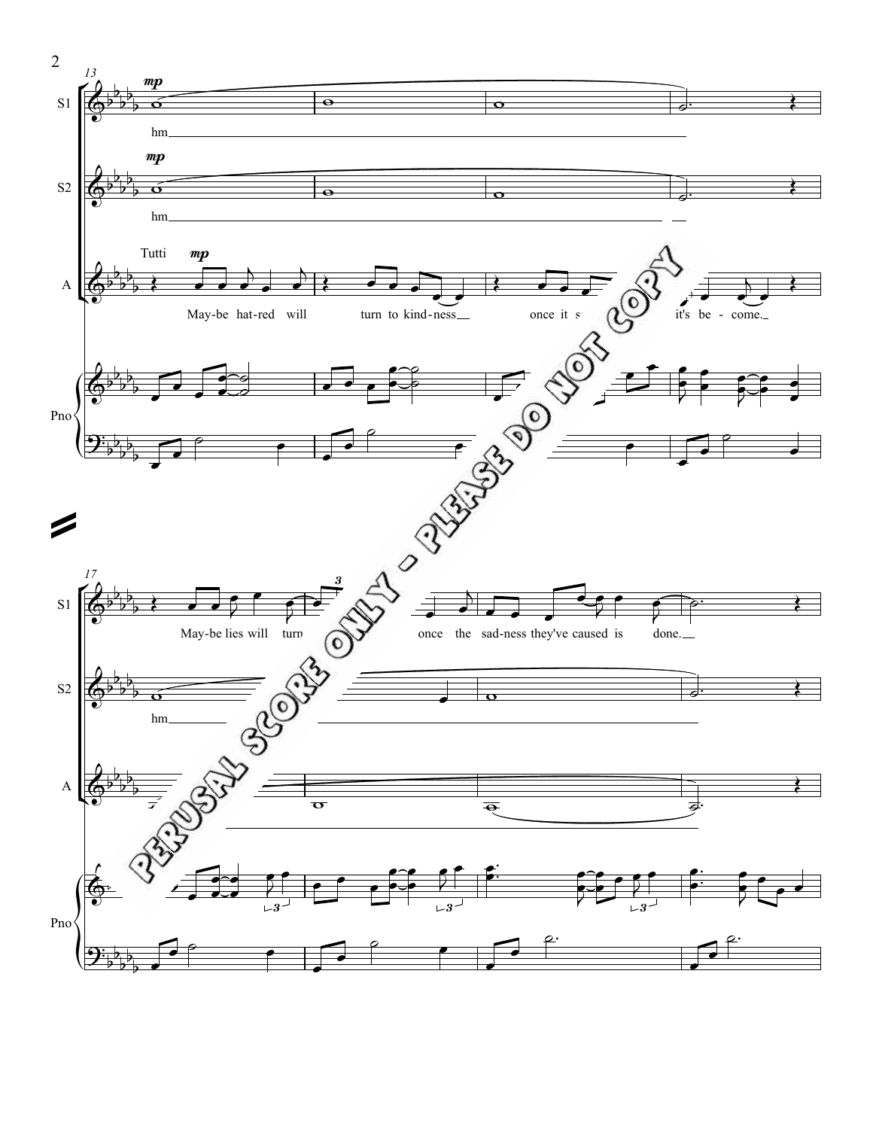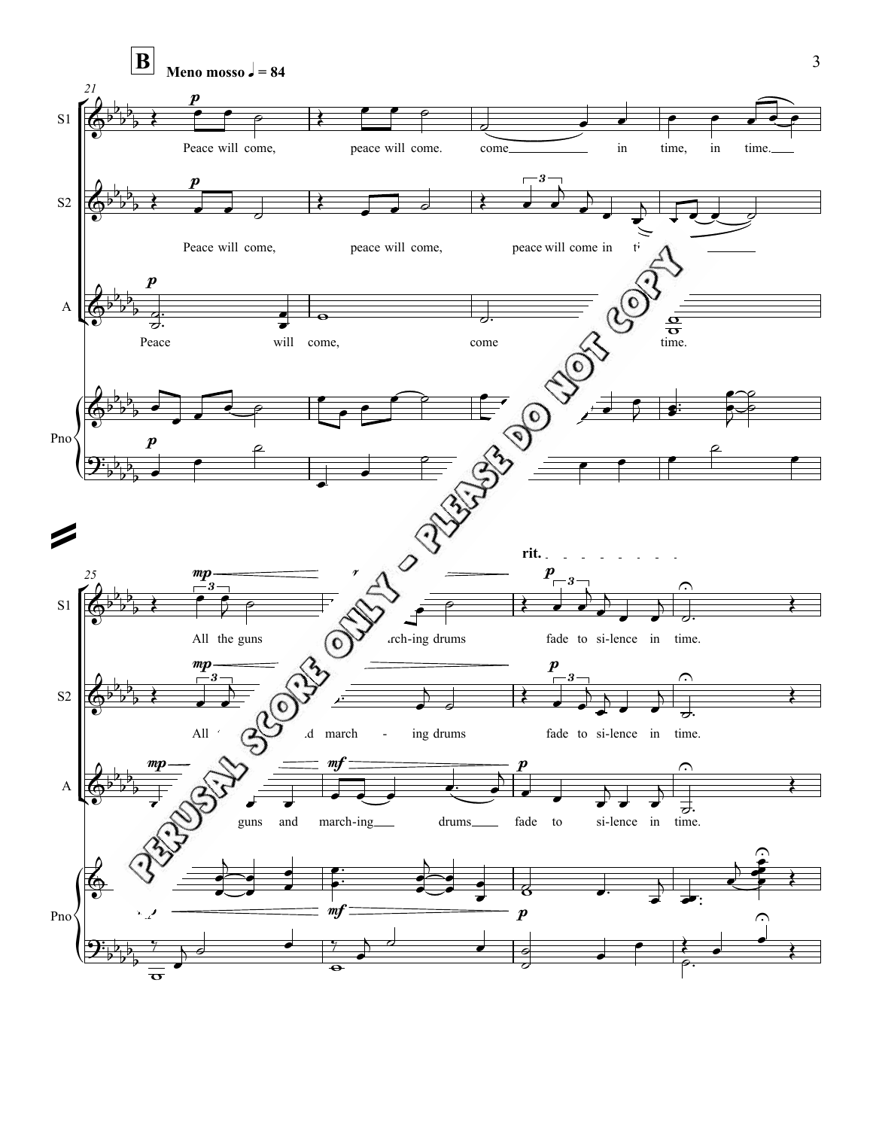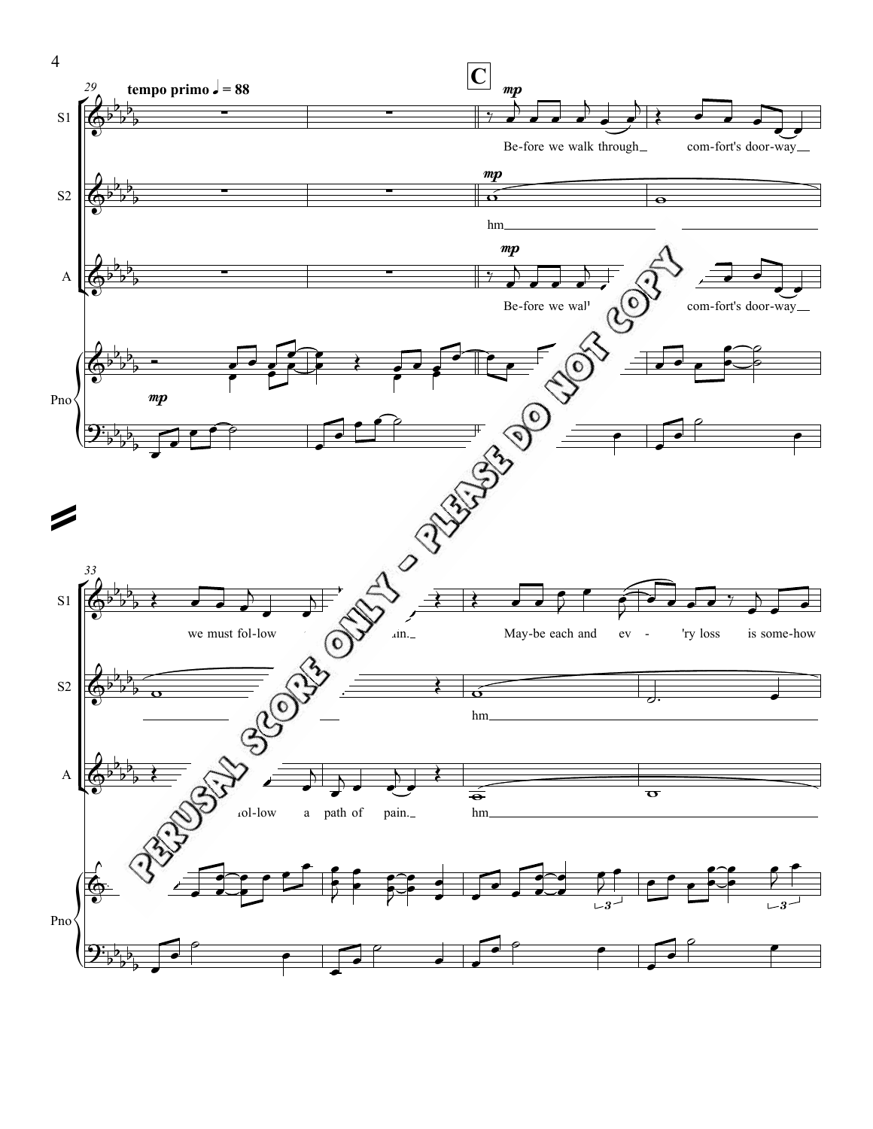

4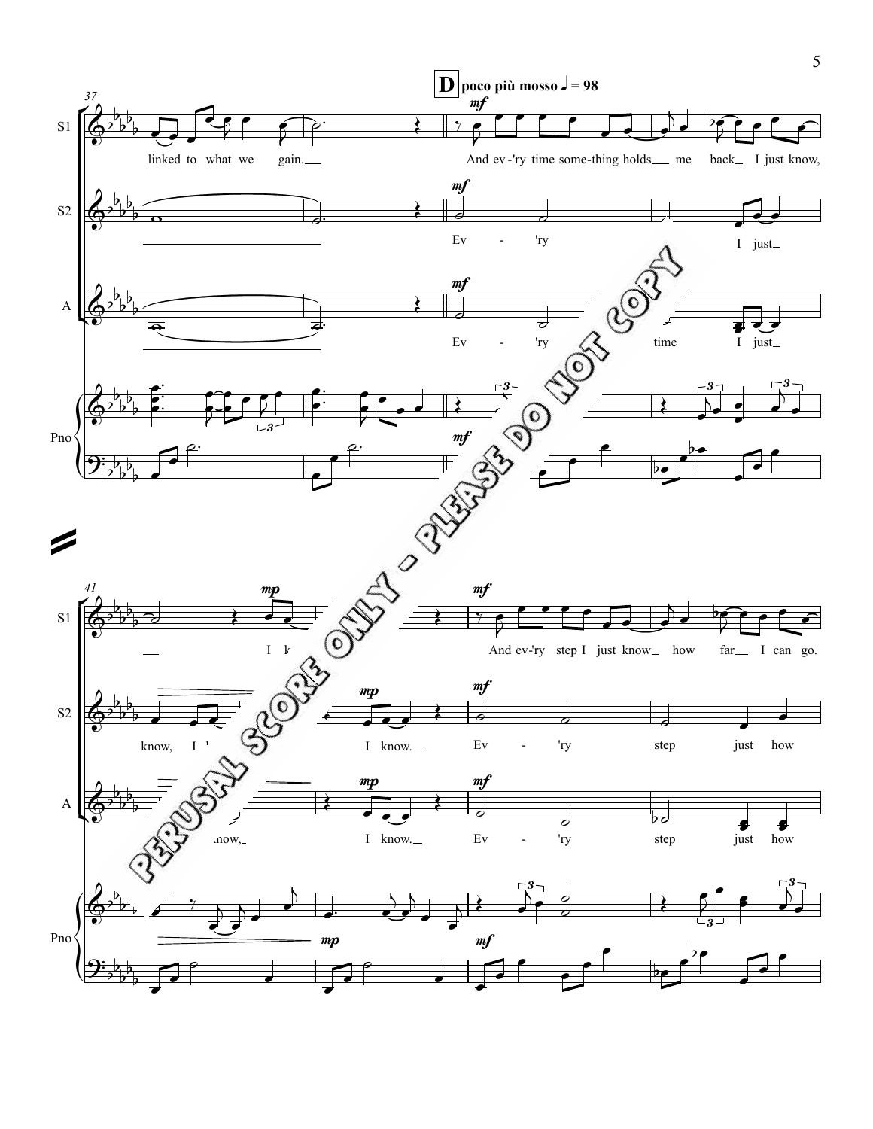

5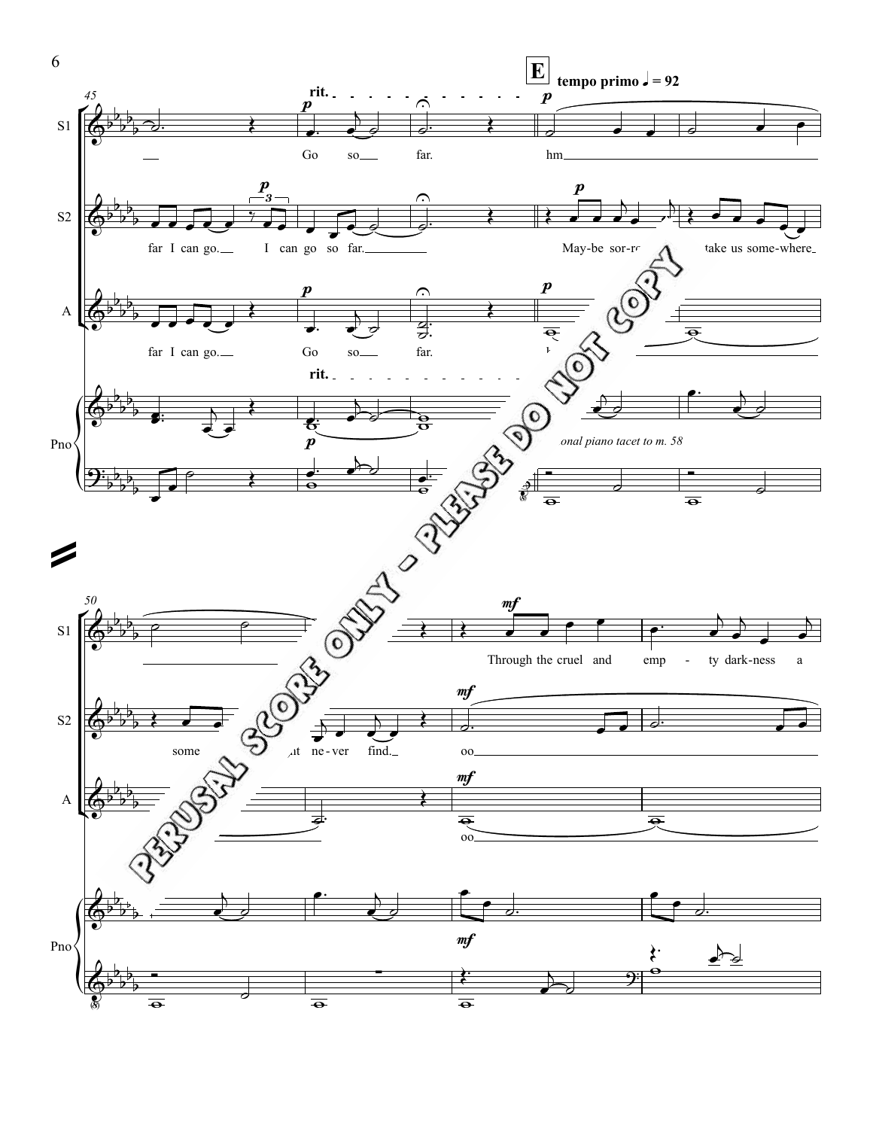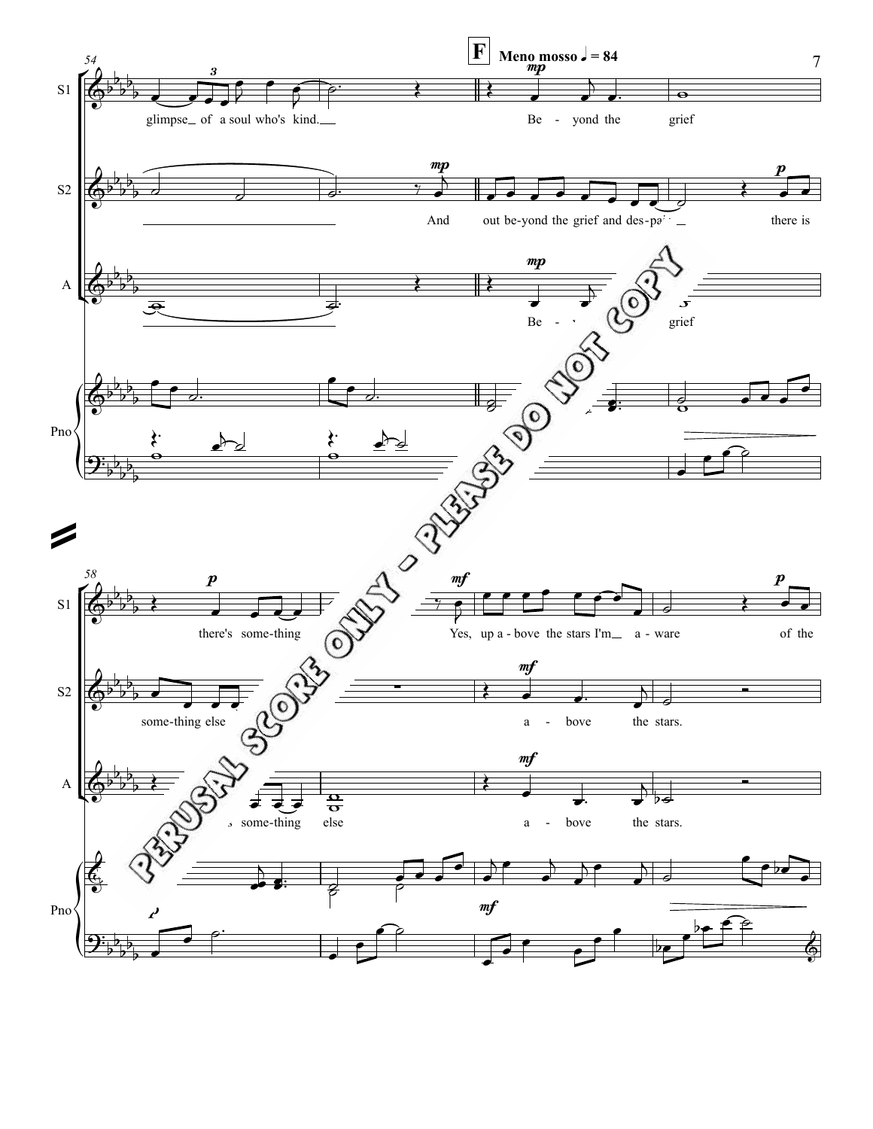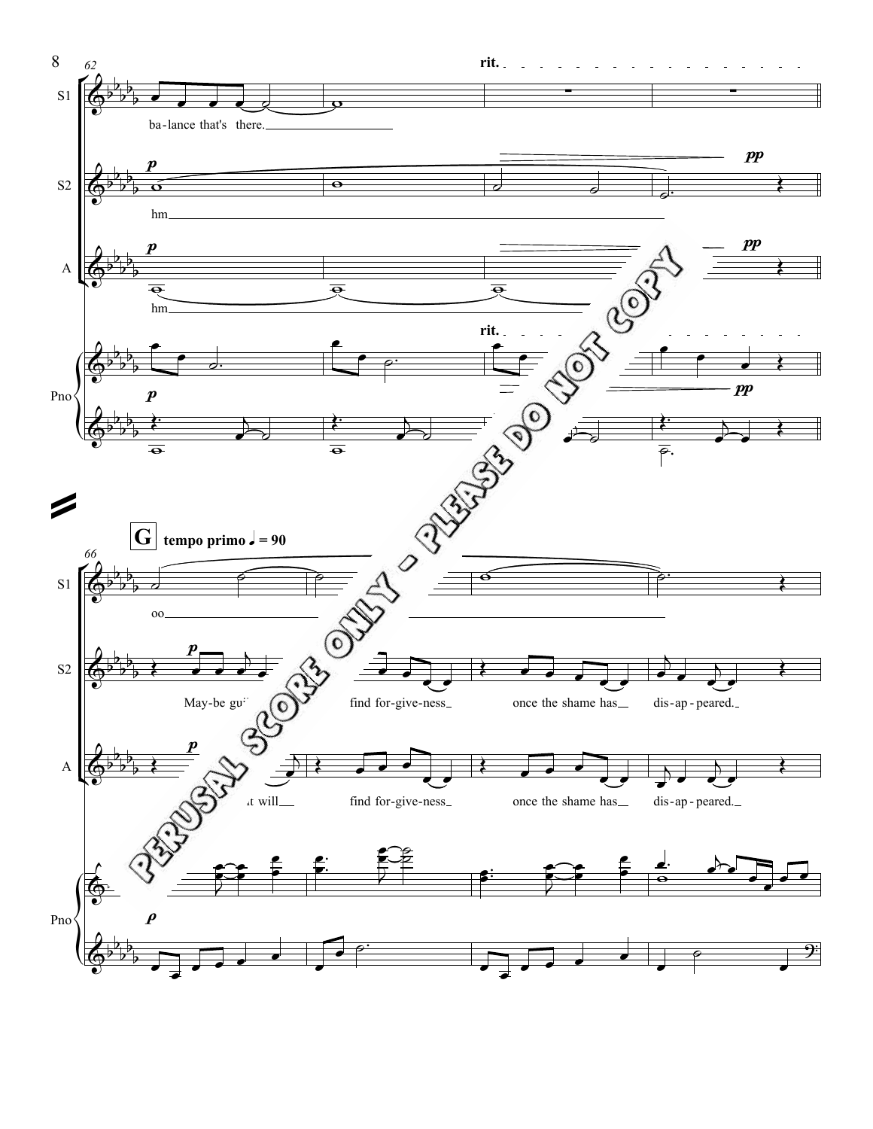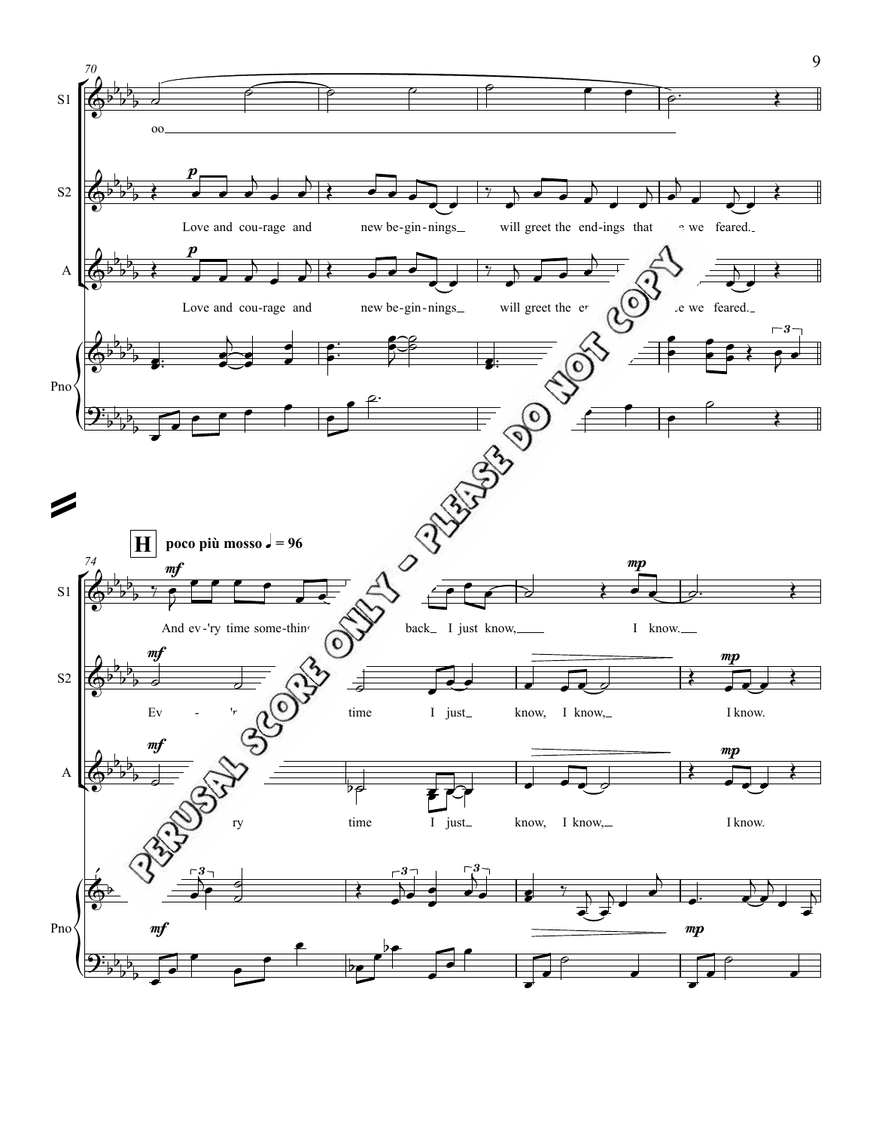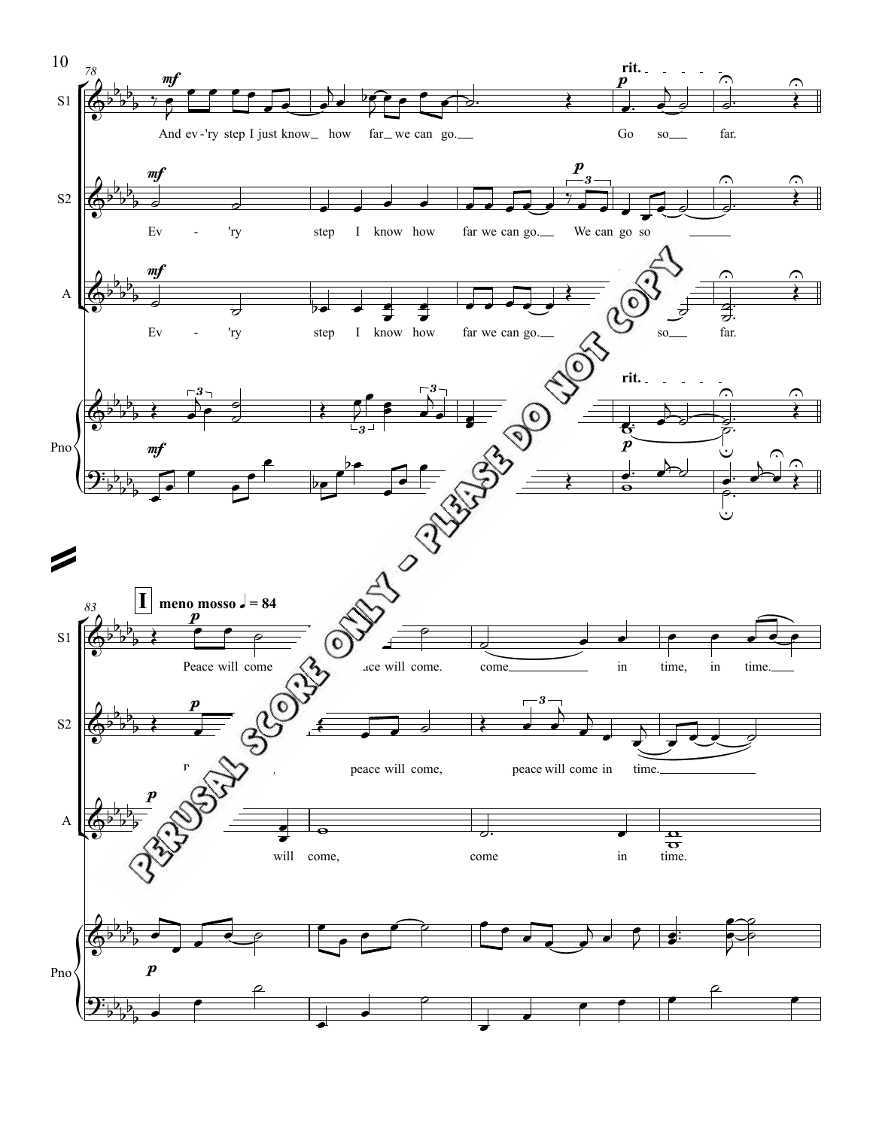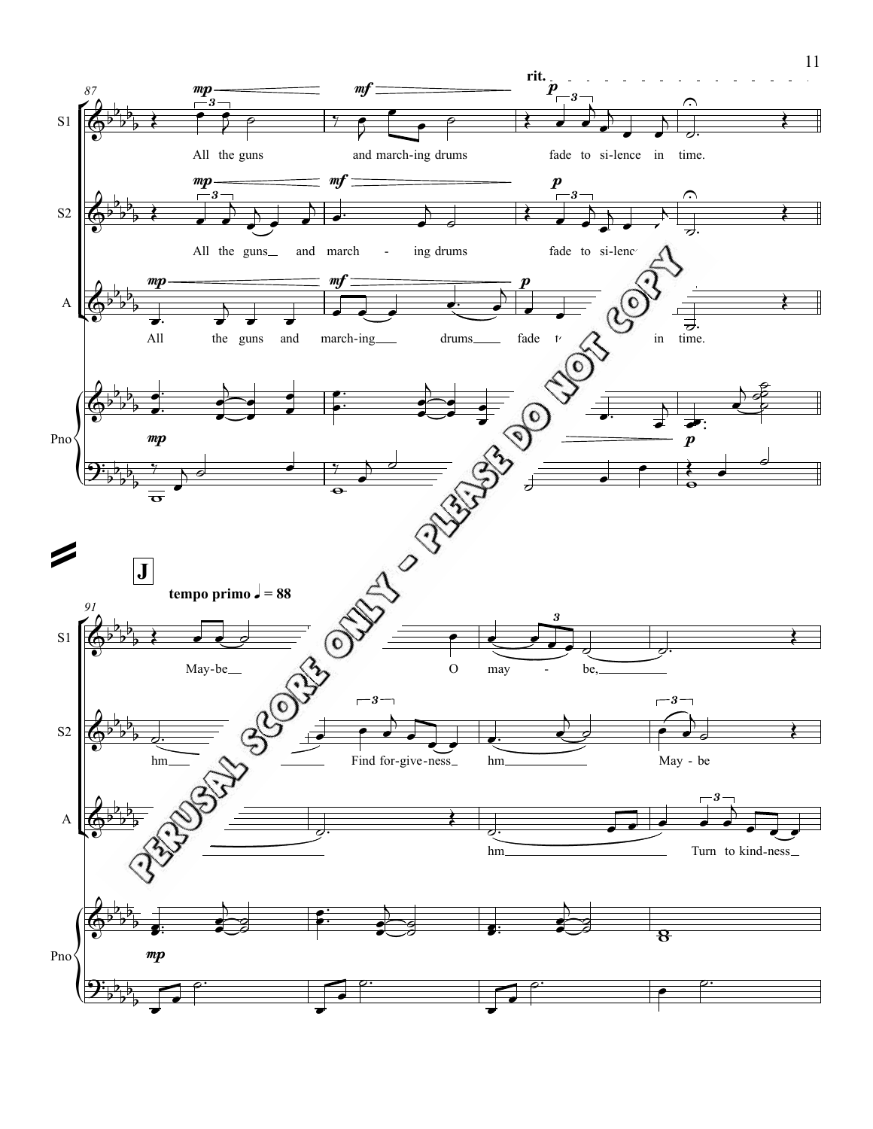